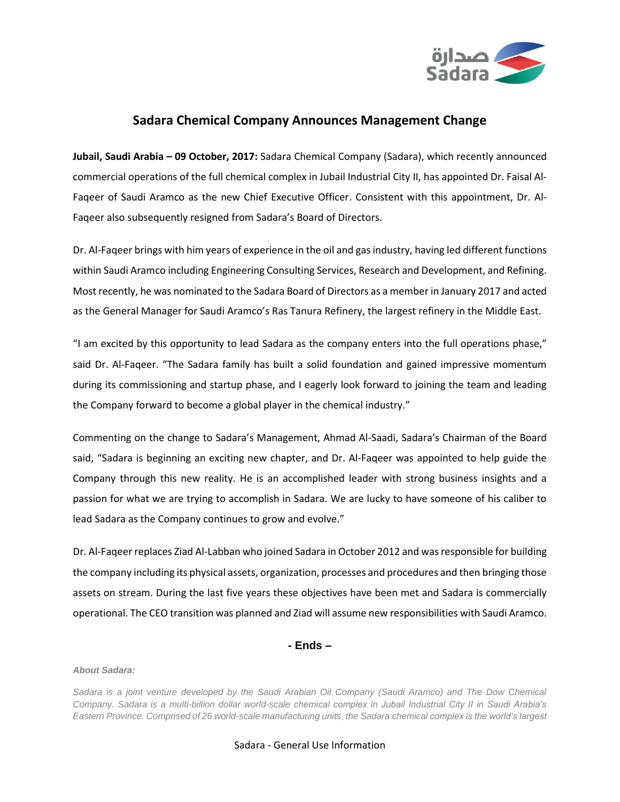

## **Sadara Chemical Company Announces Management Change**

**Jubail, Saudi Arabia – 09 October, 2017:** Sadara Chemical Company (Sadara), which recently announced commercial operations of the full chemical complex in Jubail Industrial City II, has appointed Dr. Faisal Al-Faqeer of Saudi Aramco as the new Chief Executive Officer. Consistent with this appointment, Dr. Al-Faqeer also subsequently resigned from Sadara's Board of Directors.

Dr. Al-Faqeer brings with him years of experience in the oil and gas industry, having led different functions within Saudi Aramco including Engineering Consulting Services, Research and Development, and Refining. Most recently, he was nominated to the Sadara Board of Directors as a member in January 2017 and acted as the General Manager for Saudi Aramco's Ras Tanura Refinery, the largest refinery in the Middle East.

"I am excited by this opportunity to lead Sadara as the company enters into the full operations phase," said Dr. Al-Faqeer. "The Sadara family has built a solid foundation and gained impressive momentum during its commissioning and startup phase, and I eagerly look forward to joining the team and leading the Company forward to become a global player in the chemical industry."

Commenting on the change to Sadara's Management, Ahmad Al-Saadi, Sadara's Chairman of the Board said, "Sadara is beginning an exciting new chapter, and Dr. Al-Faqeer was appointed to help guide the Company through this new reality. He is an accomplished leader with strong business insights and a passion for what we are trying to accomplish in Sadara. We are lucky to have someone of his caliber to lead Sadara as the Company continues to grow and evolve."

Dr. Al-Faqeer replaces Ziad Al-Labban who joined Sadara in October 2012 and was responsible for building the company including its physical assets, organization, processes and procedures and then bringing those assets on stream. During the last five years these objectives have been met and Sadara is commercially operational. The CEO transition was planned and Ziad will assume new responsibilities with Saudi Aramco.

## **- Ends –**

## *About Sadara:*

*Sadara is a joint venture developed by the Saudi Arabian Oil Company (Saudi Aramco) and The Dow Chemical Company. Sadara is a multi-billion dollar world-scale chemical complex in Jubail Industrial City II in Saudi Arabia's Eastern Province. Comprised of 26 world-scale manufacturing units, the Sadara chemical complex is the world's largest* 

## Sadara - General Use Information